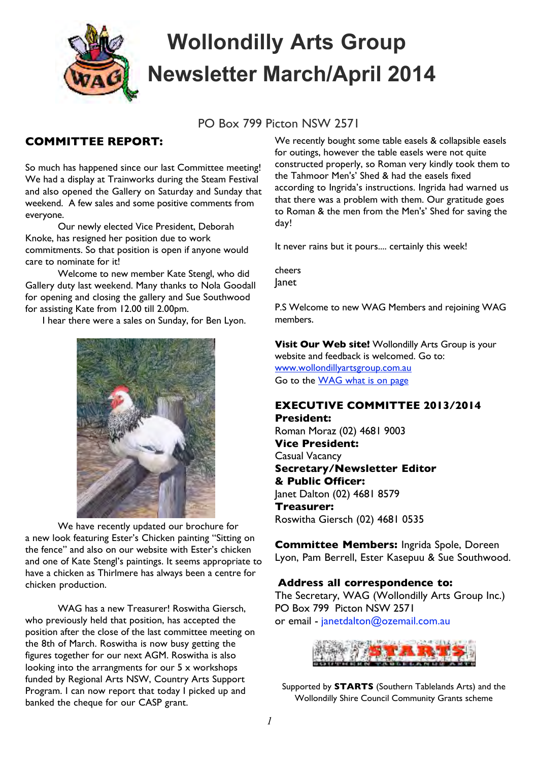

# **Wollondilly Arts Group Newsletter March/April 2014**

PO Box 799 Picton NSW 2571

## **COMMITTEE REPORT:**

So much has happened since our last Committee meeting! We had a display at Trainworks during the Steam Festival and also opened the Gallery on Saturday and Sunday that weekend. A few sales and some positive comments from everyone.

Our newly elected Vice President, Deborah Knoke, has resigned her position due to work commitments. So that position is open if anyone would care to nominate for it!

Welcome to new member Kate Stengl, who did Gallery duty last weekend. Many thanks to Nola Goodall for opening and closing the gallery and Sue Southwood for assisting Kate from 12.00 till 2.00pm.

I hear there were a sales on Sunday, for Ben Lyon.



We have recently updated our brochure for a new look featuring Ester's Chicken painting "Sitting on the fence" and also on our website with Ester's chicken and one of Kate Stengl's paintings. It seems appropriate to have a chicken as Thirlmere has always been a centre for chicken production.

WAG has a new Treasurer! Roswitha Giersch, who previously held that position, has accepted the position after the close of the last committee meeting on the 8th of March. Roswitha is now busy getting the figures together for our next AGM. Roswitha is also looking into the arrangments for our 5 x workshops funded by Regional Arts NSW, Country Arts Support Program. I can now report that today I picked up and banked the cheque for our CASP grant.

We recently bought some table easels & collapsible easels for outings, however the table easels were not quite constructed properly, so Roman very kindly took them to the Tahmoor Men's' Shed & had the easels fixed according to Ingrida's instructions. Ingrida had warned us that there was a problem with them. Our gratitude goes to Roman & the men from the Men's' Shed for saving the day!

It never rains but it pours.... certainly this week!

cheers Janet

P.S Welcome to new WAG Members and rejoining WAG members.

**Visit Our Web site!** Wollondilly Arts Group is your website and feedback is welcomed. Go to: [www.wollondillyartsgroup.com.au](http://www.wollondillyartsgroup.com.au/) Go to the [WAG](http://www.wollondillyartsgroup.com.au/wag-what-is-on.php) what is on page

## **EXECUTIVE COMMITTEE 2013/2014**

**President:** Roman Moraz (02) 4681 9003 **Vice President:** Casual Vacancy **Secretary/Newsletter Editor & Public Officer:** Janet Dalton (02) 4681 8579 **Treasurer:** Roswitha Giersch (02) 4681 0535

**Committee Members:** Ingrida Spole, Doreen Lyon, Pam Berrell, Ester Kasepuu & Sue Southwood.

#### **Address all correspondence to:**

The Secretary, WAG (Wollondilly Arts Group Inc.) PO Box 799 Picton NSW 2571 or email - janetdalton@ozemail.com.au



Supported by **STARTS** (Southern Tablelands Arts) and the Wollondilly Shire Council Community Grants scheme